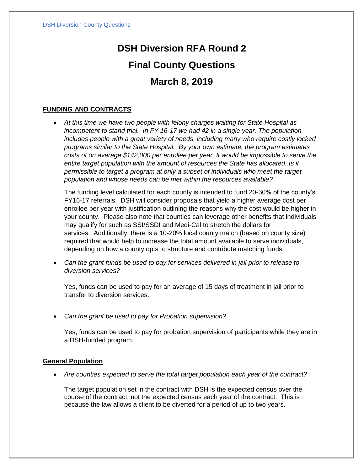# **DSH Diversion RFA Round 2 Final County Questions March 8, 2019**

## **FUNDING AND CONTRACTS**

• *At this time we have two people with felony charges waiting for State Hospital as incompetent to stand trial. In FY 16-17 we had 42 in a single year. The population includes people with a great variety of needs, including many who require costly locked programs similar to the State Hospital. By your own estimate, the program estimates costs of on average \$142,000 per enrollee per year. It would be impossible to serve the entire target population with the amount of resources the State has allocated. Is it permissible to target a program at only a subset of individuals who meet the target population and whose needs can be met within the resources available?*

The funding level calculated for each county is intended to fund 20-30% of the county's FY16-17 referrals. DSH will consider proposals that yield a higher average cost per enrollee per year with justification outlining the reasons why the cost would be higher in your county. Please also note that counties can leverage other benefits that individuals may qualify for such as SSI/SSDI and Medi-Cal to stretch the dollars for services. Additionally, there is a 10-20% local county match (based on county size) required that would help to increase the total amount available to serve individuals, depending on how a county opts to structure and contribute matching funds.

• *Can the grant funds be used to pay for services delivered in jail prior to release to diversion services?*

Yes, funds can be used to pay for an average of 15 days of treatment in jail prior to transfer to diversion services.

• *Can the grant be used to pay for Probation supervision?*

Yes, funds can be used to pay for probation supervision of participants while they are in a DSH-funded program.

### **General Population**

• *Are counties expected to serve the total target population each year of the contract?*

The target population set in the contract with DSH is the expected census over the course of the contract, not the expected census each year of the contract. This is because the law allows a client to be diverted for a period of up to two years.